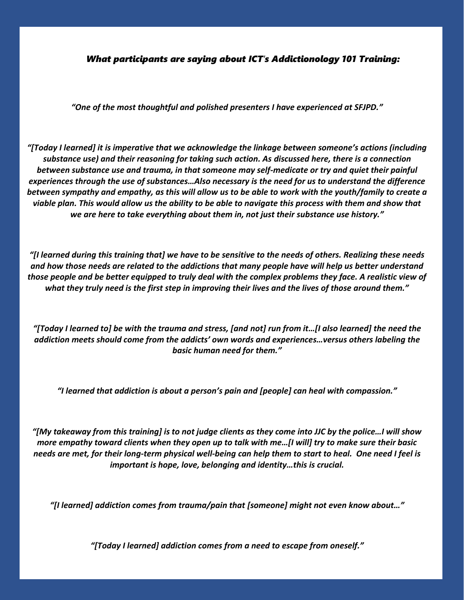*What participants are saying about ICT's Addictionology 101 Training:*

*"One of the most thoughtful and polished presenters I have experienced at SFJPD."*

*"[Today I learned] it is imperative that we acknowledge the linkage between someone's actions (including substance use) and their reasoning for taking such action. As discussed here, there is a connection between substance use and trauma, in that someone may self-medicate or try and quiet their painful experiences through the use of substances…Also necessary is the need for us to understand the difference between sympathy and empathy, as this will allow us to be able to work with the youth/family to create a viable plan. This would allow us the ability to be able to navigate this process with them and show that we are here to take everything about them in, not just their substance use history."*

*"[I learned during this training that] we have to be sensitive to the needs of others. Realizing these needs and how those needs are related to the addictions that many people have will help us better understand those people and be better equipped to truly deal with the complex problems they face. A realistic view of what they truly need is the first step in improving their lives and the lives of those around them."*

*"[Today I learned to] be with the trauma and stress, [and not] run from it…[I also learned] the need the addiction meets should come from the addicts' own words and experiences…versus others labeling the basic human need for them."*

*"I learned that addiction is about a person's pain and [people] can heal with compassion."*

*"[My takeaway from this training] is to not judge clients as they come into JJC by the police…I will show more empathy toward clients when they open up to talk with me…[I will] try to make sure their basic needs are met, for their long-term physical well-being can help them to start to heal. One need I feel is important is hope, love, belonging and identity…this is crucial.*

*"[I learned] addiction comes from trauma/pain that [someone] might not even know about…"*

*"[Today I learned] addiction comes from a need to escape from oneself."*